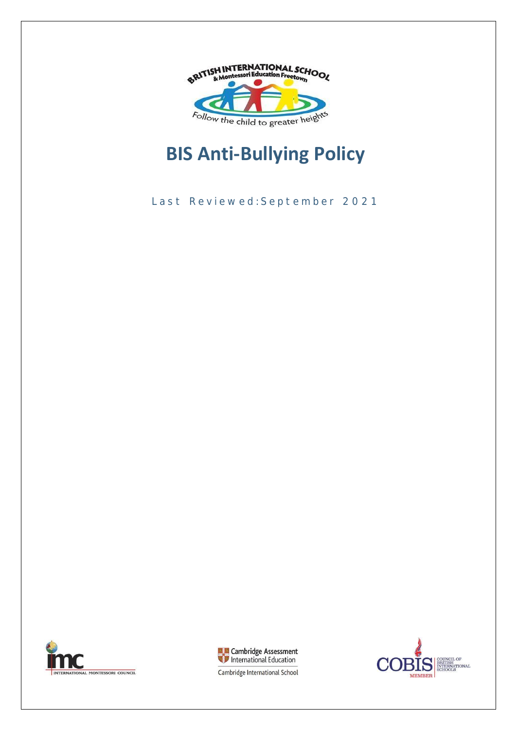

# **BIS Anti-Bullying Policy**

Last Reviewed: September 2021





COUNCIL OF<br>BRITISH<br>INTERNATIONAL<br>SCHOOLS Э **MEMBER** 

Cambridge International School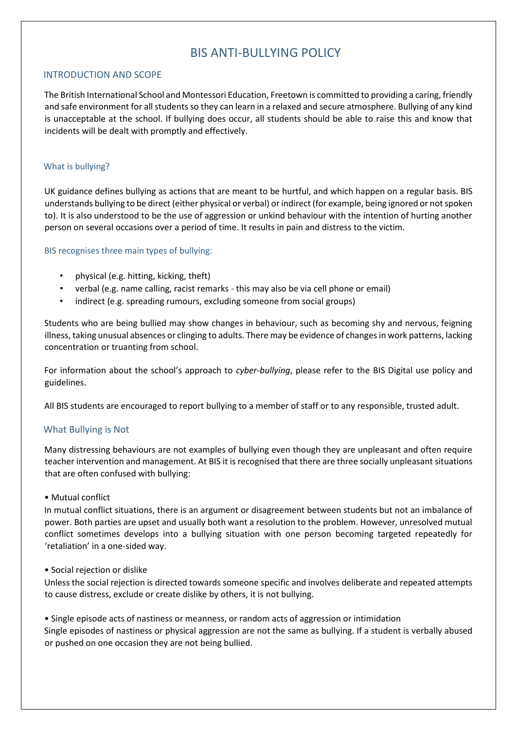# BIS ANTI-BULLYING POLICY

## INTRODUCTION AND SCOPE

The British International School and Montessori Education, Freetown is committed to providing a caring, friendly and safe environment for all students so they can learn in a relaxed and secure atmosphere. Bullying of any kind is unacceptable at the school. If bullying does occur, all students should be able to raise this and know that incidents will be dealt with promptly and effectively.

#### What is bullying?

UK guidance defines bullying as actions that are meant to be hurtful, and which happen on a regular basis. BIS understands bullying to be direct (either physical or verbal) or indirect (for example, being ignored or not spoken to). It is also understood to be the use of aggression or unkind behaviour with the intention of hurting another person on several occasions over a period of time. It results in pain and distress to the victim.

#### BIS recognises three main types of bullying:

- physical (e.g. hitting, kicking, theft)
- verbal (e.g. name calling, racist remarks *-* this may also be via cell phone or email)
- indirect (e.g. spreading rumours, excluding someone from social groups)

Students who are being bullied may show changes in behaviour, such as becoming shy and nervous, feigning illness, taking unusual absences or clinging to adults. There may be evidence of changes in work patterns, lacking concentration or truanting from school.

For information about the school's approach to *cyber-bullying*, please refer to the BIS Digital use policy and guidelines.

All BIS students are encouraged to report bullying to a member of staff or to any responsible, trusted adult.

# What Bullying is Not

Many distressing behaviours are not examples of bullying even though they are unpleasant and often require teacher intervention and management. At BIS it is recognised that there are three socially unpleasant situations that are often confused with bullying:

#### • Mutual conflict

In mutual conflict situations, there is an argument or disagreement between students but not an imbalance of power. Both parties are upset and usually both want a resolution to the problem. However, unresolved mutual conflict sometimes develops into a bullying situation with one person becoming targeted repeatedly for 'retaliation' in a one-sided way.

• Social rejection or dislike

Unless the social rejection is directed towards someone specific and involves deliberate and repeated attempts to cause distress, exclude or create dislike by others, it is not bullying.

• Single episode acts of nastiness or meanness, or random acts of aggression or intimidation Single episodes of nastiness or physical aggression are not the same as bullying. If a student is verbally abused or pushed on one occasion they are not being bullied.